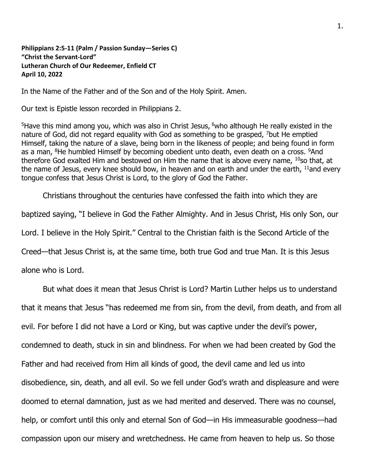**Philippians 2:5-11 (Palm / Passion Sunday—Series C) "Christ the Servant-Lord" Lutheran Church of Our Redeemer, Enfield CT April 10, 2022**

In the Name of the Father and of the Son and of the Holy Spirit. Amen.

Our text is Epistle lesson recorded in Philippians 2.

<sup>5</sup>Have this mind among you, which was also in Christ Jesus, <sup>6</sup>who although He really existed in the nature of God, did not regard equality with God as something to be grasped, <sup>7</sup>but He emptied Himself, taking the nature of a slave, being born in the likeness of people; and being found in form as a man,  ${}^{8}$ He humbled Himself by becoming obedient unto death, even death on a cross.  ${}^{9}$ And therefore God exalted Him and bestowed on Him the name that is above every name,  $10$ so that, at the name of Jesus, every knee should bow, in heaven and on earth and under the earth, <sup>11</sup>and every tongue confess that Jesus Christ is Lord, to the glory of God the Father.

Christians throughout the centuries have confessed the faith into which they are

baptized saying, "I believe in God the Father Almighty. And in Jesus Christ, His only Son, our

Lord. I believe in the Holy Spirit." Central to the Christian faith is the Second Article of the

Creed—that Jesus Christ is, at the same time, both true God and true Man. It is this Jesus

alone who is Lord.

But what does it mean that Jesus Christ is Lord? Martin Luther helps us to understand

that it means that Jesus "has redeemed me from sin, from the devil, from death, and from all

evil. For before I did not have a Lord or King, but was captive under the devil's power,

condemned to death, stuck in sin and blindness. For when we had been created by God the

Father and had received from Him all kinds of good, the devil came and led us into

disobedience, sin, death, and all evil. So we fell under God's wrath and displeasure and were

doomed to eternal damnation, just as we had merited and deserved. There was no counsel,

help, or comfort until this only and eternal Son of God—in His immeasurable goodness—had

compassion upon our misery and wretchedness. He came from heaven to help us. So those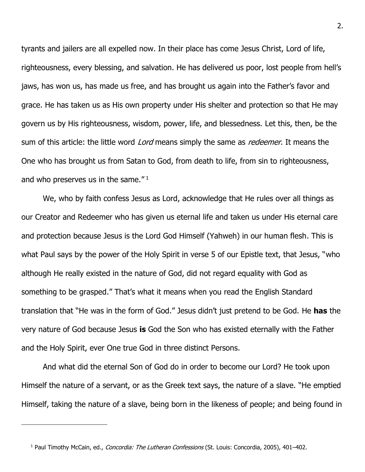tyrants and jailers are all expelled now. In their place has come Jesus Christ, Lord of life, righteousness, every blessing, and salvation. He has delivered us poor, lost people from hell's jaws, has won us, has made us free, and has brought us again into the Father's favor and grace. He has taken us as His own property under His shelter and protection so that He may govern us by His righteousness, wisdom, power, life, and blessedness. Let this, then, be the sum of this article: the little word *Lord* means simply the same as *redeemer*. It means the One who has brought us from Satan to God, from death to life, from sin to righteousness, and who preserves us in the same."  $1$ 

We, who by faith confess Jesus as Lord, acknowledge that He rules over all things as our Creator and Redeemer who has given us eternal life and taken us under His eternal care and protection because Jesus is the Lord God Himself (Yahweh) in our human flesh. This is what Paul says by the power of the Holy Spirit in verse 5 of our Epistle text, that Jesus, "who although He really existed in the nature of God, did not regard equality with God as something to be grasped." That's what it means when you read the English Standard translation that "He was in the form of God." Jesus didn't just pretend to be God. He **has** the very nature of God because Jesus **is** God the Son who has existed eternally with the Father and the Holy Spirit, ever One true God in three distinct Persons.

And what did the eternal Son of God do in order to become our Lord? He took upon Himself the nature of a servant, or as the Greek text says, the nature of a slave. "He emptied Himself, taking the nature of a slave, being born in the likeness of people; and being found in

<sup>&</sup>lt;sup>1</sup> Paul Timothy McCain, ed., *Concordia: The Lutheran Confessions* (St. Louis: Concordia, 2005), 401-402.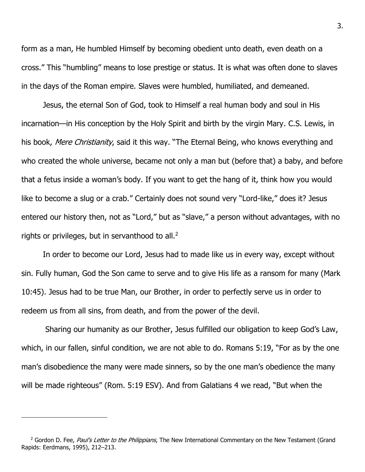form as a man, He humbled Himself by becoming obedient unto death, even death on a cross." This "humbling" means to lose prestige or status. It is what was often done to slaves in the days of the Roman empire. Slaves were humbled, humiliated, and demeaned.

Jesus, the eternal Son of God, took to Himself a real human body and soul in His incarnation—in His conception by the Holy Spirit and birth by the virgin Mary. C.S. Lewis, in his book, *Mere Christianity*, said it this way. "The Eternal Being, who knows everything and who created the whole universe, became not only a man but (before that) a baby, and before that a fetus inside a woman's body. If you want to get the hang of it, think how you would like to become a slug or a crab." Certainly does not sound very "Lord-like," does it? Jesus entered our history then, not as "Lord," but as "slave," a person without advantages, with no rights or privileges, but in servanthood to all. $2$ 

In order to become our Lord, Jesus had to made like us in every way, except without sin. Fully human, God the Son came to serve and to give His life as a ransom for many (Mark 10:45). Jesus had to be true Man, our Brother, in order to perfectly serve us in order to redeem us from all sins, from death, and from the power of the devil.

Sharing our humanity as our Brother, Jesus fulfilled our obligation to keep God's Law, which, in our fallen, sinful condition, we are not able to do. Romans 5:19, "For as by the one man's disobedience the many were made sinners, so by the one man's obedience the many will be made righteous" (Rom. 5:19 ESV). And from Galatians 4 we read, "But when the

<sup>&</sup>lt;sup>2</sup> Gordon D. Fee, Paul's Letter to the Philippians, The New International Commentary on the New Testament (Grand Rapids: Eerdmans, 1995), 212–213.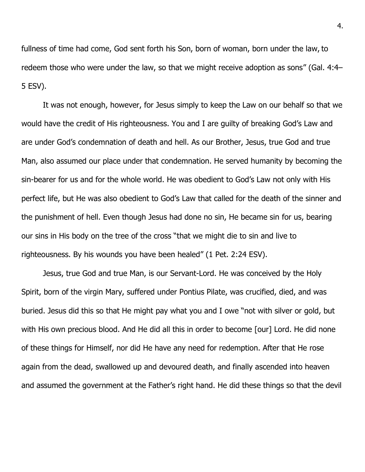fullness of time had come, God sent forth his Son, born of woman, born under the law, to redeem those who were under the law, so that we might receive adoption as sons" (Gal. 4:4– 5 ESV).

It was not enough, however, for Jesus simply to keep the Law on our behalf so that we would have the credit of His righteousness. You and I are guilty of breaking God's Law and are under God's condemnation of death and hell. As our Brother, Jesus, true God and true Man, also assumed our place under that condemnation. He served humanity by becoming the sin-bearer for us and for the whole world. He was obedient to God's Law not only with His perfect life, but He was also obedient to God's Law that called for the death of the sinner and the punishment of hell. Even though Jesus had done no sin, He became sin for us, bearing our sins in His body on the tree of the cross "that we might die to sin and live to righteousness. By his wounds you have been healed" (1 Pet. 2:24 ESV).

Jesus, true God and true Man, is our Servant-Lord. He was conceived by the Holy Spirit, born of the virgin Mary, suffered under Pontius Pilate, was crucified, died, and was buried. Jesus did this so that He might pay what you and I owe "not with silver or gold, but with His own precious blood. And He did all this in order to become [our] Lord. He did none of these things for Himself, nor did He have any need for redemption. After that He rose again from the dead, swallowed up and devoured death, and finally ascended into heaven and assumed the government at the Father's right hand. He did these things so that the devil